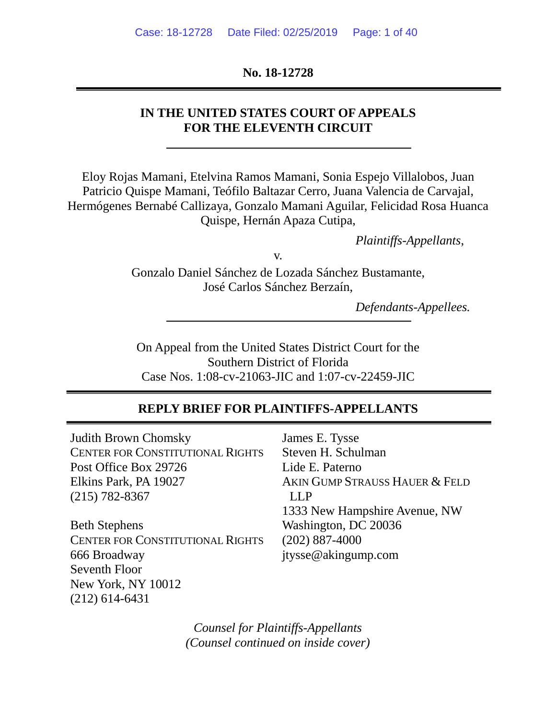### **No. 18-12728**

### **IN THE UNITED STATES COURT OF APPEALS FOR THE ELEVENTH CIRCUIT**

Eloy Rojas Mamani, Etelvina Ramos Mamani, Sonia Espejo Villalobos, Juan Patricio Quispe Mamani, Teófilo Baltazar Cerro, Juana Valencia de Carvajal, Hermógenes Bernabé Callizaya, Gonzalo Mamani Aguilar, Felicidad Rosa Huanca Quispe, Hernán Apaza Cutipa,

*Plaintiffs-Appellants*,

v.

Gonzalo Daniel Sánchez de Lozada Sánchez Bustamante, José Carlos Sánchez Berzaín,

*Defendants-Appellees.*

On Appeal from the United States District Court for the Southern District of Florida Case Nos. 1:08-cv-21063-JIC and 1:07-cv-22459-JIC

### **REPLY BRIEF FOR PLAINTIFFS-APPELLANTS**

Judith Brown Chomsky CENTER FOR CONSTITUTIONAL RIGHTS Post Office Box 29726 Elkins Park, PA 19027 (215) 782-8367

Beth Stephens CENTER FOR CONSTITUTIONAL RIGHTS 666 Broadway Seventh Floor New York, NY 10012 (212) 614-6431

James E. Tysse Steven H. Schulman Lide E. Paterno AKIN GUMP STRAUSS HAUER & FELD LLP 1333 New Hampshire Avenue, NW Washington, DC 20036 (202) 887-4000 jtysse@akingump.com

*Counsel for Plaintiffs-Appellants (Counsel continued on inside cover)*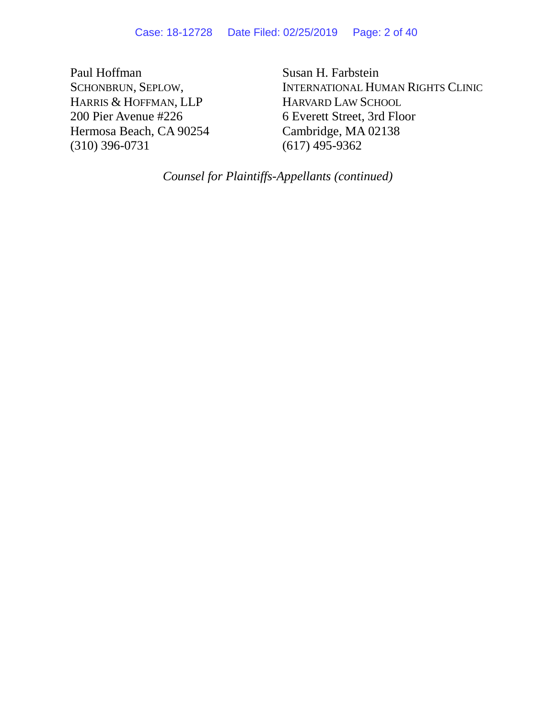Paul Hoffman SCHONBRUN, SEPLOW, HARRIS & HOFFMAN, LLP 200 Pier Avenue #226 Hermosa Beach, CA 90254 (310) 396-0731

Susan H. Farbstein INTERNATIONAL HUMAN RIGHTS CLINIC HARVARD LAW SCHOOL 6 Everett Street, 3rd Floor Cambridge, MA 02138 (617) 495-9362

*Counsel for Plaintiffs-Appellants (continued)*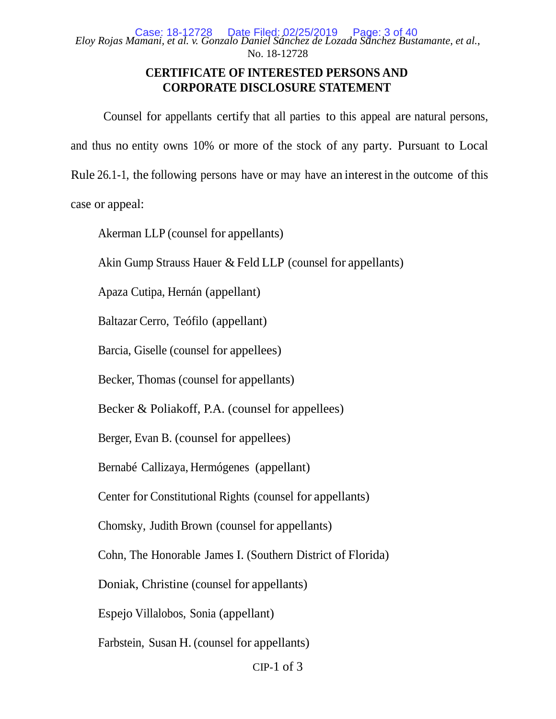### **CERTIFICATE OF INTERESTED PERSONS AND CORPORATE DISCLOSURE STATEMENT**

Counsel for appellants certify that all parties to this appeal are natural persons, and thus no entity owns 10% or more of the stock of any party. Pursuant to Local Rule 26.1-1, the following persons have or may have an interest in the outcome of this case or appeal:

Akerman LLP (counsel for appellants)

Akin Gump Strauss Hauer & Feld LLP (counsel for appellants)

Apaza Cutipa, Hernán (appellant)

Baltazar Cerro, Teófilo (appellant)

Barcia, Giselle (counsel for appellees)

Becker, Thomas (counsel for appellants)

Becker & Poliakoff, P.A. (counsel for appellees)

Berger, Evan B. (counsel for appellees)

Bernabé Callizaya, Hermógenes (appellant)

Center for Constitutional Rights (counsel for appellants)

Chomsky, Judith Brown (counsel for appellants)

Cohn, The Honorable James I. (Southern District of Florida)

Doniak, Christine (counsel for appellants)

Espejo Villalobos, Sonia (appellant)

Farbstein, Susan H. (counsel for appellants)

 $CIP-1$  of 3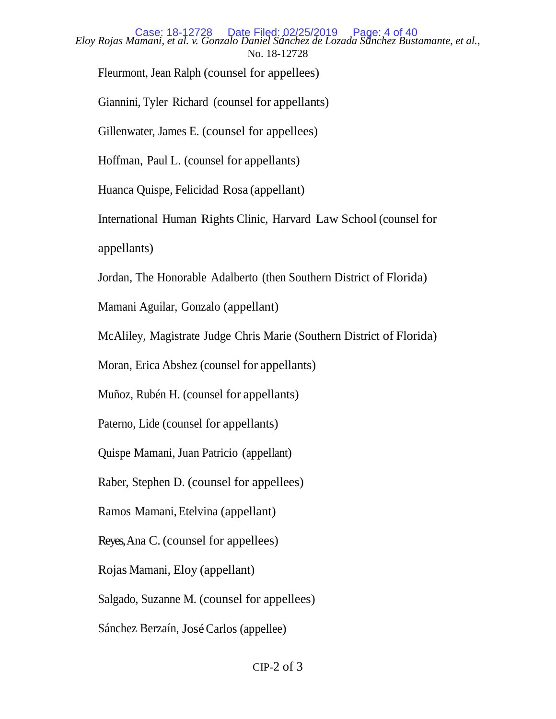*Eloy Rojas Mamani, et al. v. Gonzalo Daniel Sánchez de Lozada Sánchez Bustamante*, *et al.*, No. 18-12728 Case: 18-12728 Date Filed: 02/25/2019 Page: 4 of 40

Fleurmont, Jean Ralph (counsel for appellees)

Giannini, Tyler Richard (counsel for appellants)

Gillenwater, James E. (counsel for appellees)

Hoffman, Paul L. (counsel for appellants)

Huanca Quispe, Felicidad Rosa (appellant)

International Human Rights Clinic, Harvard Law School (counsel for

appellants)

Jordan, The Honorable Adalberto (then Southern District of Florida)

Mamani Aguilar, Gonzalo (appellant)

McAliley, Magistrate Judge Chris Marie (Southern District of Florida)

Moran, Erica Abshez (counsel for appellants)

Muñoz, Rubén H. (counsel for appellants)

Paterno, Lide (counsel for appellants)

Quispe Mamani, Juan Patricio (appellant)

Raber, Stephen D. (counsel for appellees)

Ramos Mamani, Etelvina (appellant)

Reyes, Ana C. (counsel for appellees)

Rojas Mamani, Eloy (appellant)

Salgado, Suzanne M. (counsel for appellees)

Sánchez Berzaín, JoséCarlos (appellee)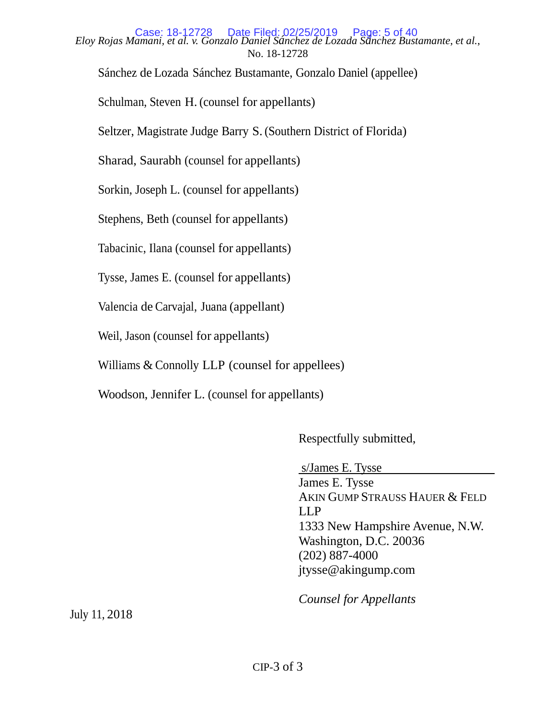*Eloy Rojas Mamani, et al. v. Gonzalo Daniel Sánchez de Lozada Sánchez Bustamante*, *et al.*, No. 18-12728 Case: 18-12728 Date Filed: 02/25/2019 Page: 5 of 40

Sánchez de Lozada Sánchez Bustamante, Gonzalo Daniel (appellee)

Schulman, Steven H. (counsel for appellants)

Seltzer, Magistrate Judge Barry S.(Southern District of Florida)

Sharad, Saurabh (counsel for appellants)

Sorkin, Joseph L. (counsel for appellants)

Stephens, Beth (counsel for appellants)

Tabacinic, Ilana (counsel for appellants)

Tysse, James E. (counsel for appellants)

Valencia de Carvajal, Juana (appellant)

Weil, Jason (counsel for appellants)

Williams & Connolly LLP (counsel for appellees)

Woodson, Jennifer L. (counsel for appellants)

Respectfully submitted,

s/James E. Tysse

James E. Tysse AKIN GUMP STRAUSS HAUER & FELD LLP 1333 New Hampshire Avenue, N.W. Washington, D.C. 20036 (202) 887-4000 jtysse@akingump.com

*Counsel for Appellants*

July 11, 2018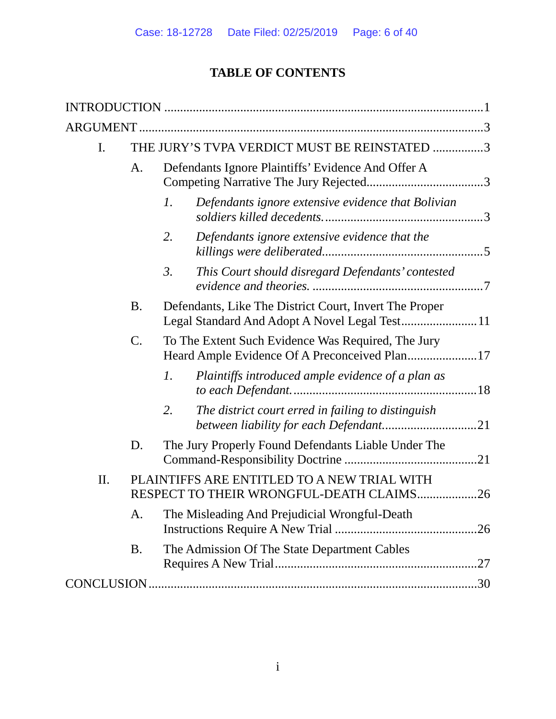# **TABLE OF CONTENTS**

| I.  |           | THE JURY'S TVPA VERDICT MUST BE REINSTATED 3                                                        |  |
|-----|-----------|-----------------------------------------------------------------------------------------------------|--|
|     | A.        | Defendants Ignore Plaintiffs' Evidence And Offer A                                                  |  |
|     |           | Defendants ignore extensive evidence that Bolivian<br>1.                                            |  |
|     |           | Defendants ignore extensive evidence that the<br>2.                                                 |  |
|     |           | This Court should disregard Defendants' contested<br>3.                                             |  |
|     | <b>B.</b> | Defendants, Like The District Court, Invert The Proper                                              |  |
|     | $C$ .     | To The Extent Such Evidence Was Required, The Jury<br>Heard Ample Evidence Of A Preconceived Plan17 |  |
|     |           | $\mathfrak{1}.$<br>Plaintiffs introduced ample evidence of a plan as                                |  |
|     |           | 2.<br>The district court erred in failing to distinguish<br>between liability for each Defendant21  |  |
|     | D.        | The Jury Properly Found Defendants Liable Under The                                                 |  |
| II. |           | PLAINTIFFS ARE ENTITLED TO A NEW TRIAL WITH<br>RESPECT TO THEIR WRONGFUL-DEATH CLAIMS26             |  |
|     | A.        | The Misleading And Prejudicial Wrongful-Death                                                       |  |
|     | B.        | The Admission Of The State Department Cables                                                        |  |
|     |           |                                                                                                     |  |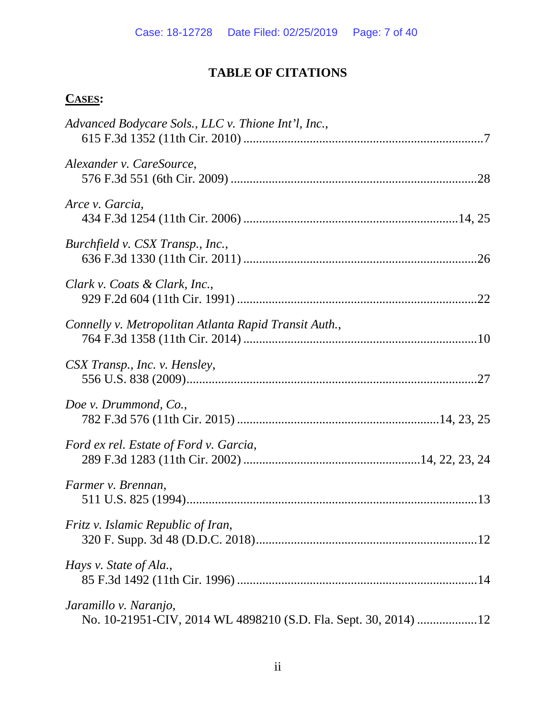# **TABLE OF CITATIONS**

# **CASES:**

| Advanced Bodycare Sols., LLC v. Thione Int'l, Inc.,                                      |
|------------------------------------------------------------------------------------------|
| Alexander v. CareSource,                                                                 |
| Arce v. Garcia,                                                                          |
| Burchfield v. CSX Transp., Inc.,                                                         |
| Clark v. Coats & Clark, Inc.,                                                            |
| Connelly v. Metropolitan Atlanta Rapid Transit Auth.,                                    |
| CSX Transp., Inc. v. Hensley,                                                            |
| Doe v. Drummond, Co.,                                                                    |
| Ford ex rel. Estate of Ford v. Garcia,                                                   |
| Farmer v. Brennan,                                                                       |
| Fritz v. Islamic Republic of Iran,                                                       |
| Hays v. State of Ala.,                                                                   |
| Jaramillo v. Naranjo,<br>No. 10-21951-CIV, 2014 WL 4898210 (S.D. Fla. Sept. 30, 2014) 12 |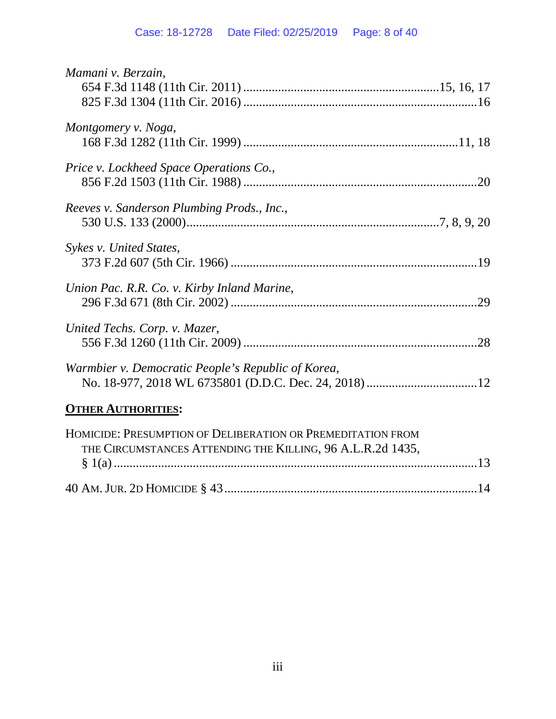| Mamani v. Berzain,                                                                                                        |  |
|---------------------------------------------------------------------------------------------------------------------------|--|
| Montgomery v. Noga,                                                                                                       |  |
| Price v. Lockheed Space Operations Co.,                                                                                   |  |
| Reeves v. Sanderson Plumbing Prods., Inc.,                                                                                |  |
| Sykes v. United States,                                                                                                   |  |
| Union Pac. R.R. Co. v. Kirby Inland Marine,                                                                               |  |
| United Techs. Corp. v. Mazer,                                                                                             |  |
| Warmbier v. Democratic People's Republic of Korea,                                                                        |  |
| <b>OTHER AUTHORITIES:</b>                                                                                                 |  |
| HOMICIDE: PRESUMPTION OF DELIBERATION OR PREMEDITATION FROM<br>THE CIRCUMSTANCES ATTENDING THE KILLING, 96 A.L.R.2d 1435, |  |

|--|--|--|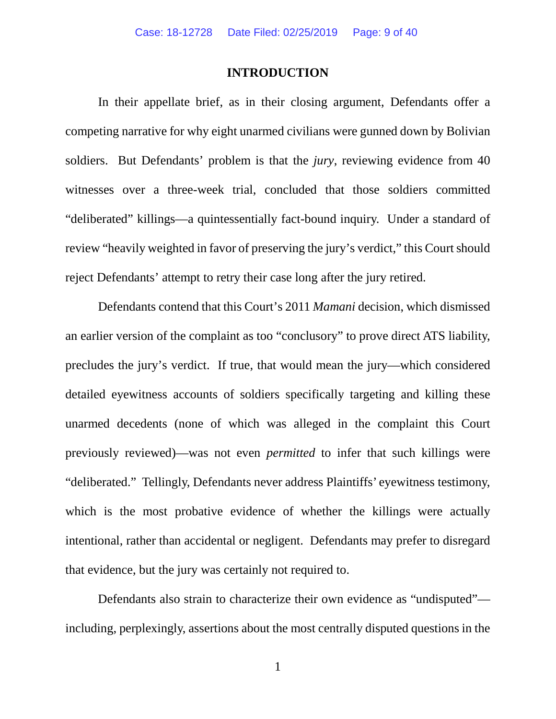### **INTRODUCTION**

In their appellate brief, as in their closing argument, Defendants offer a competing narrative for why eight unarmed civilians were gunned down by Bolivian soldiers. But Defendants' problem is that the *jury*, reviewing evidence from 40 witnesses over a three-week trial, concluded that those soldiers committed "deliberated" killings—a quintessentially fact-bound inquiry. Under a standard of review "heavily weighted in favor of preserving the jury's verdict," this Court should reject Defendants' attempt to retry their case long after the jury retired.

Defendants contend that this Court's 2011 *Mamani* decision, which dismissed an earlier version of the complaint as too "conclusory" to prove direct ATS liability, precludes the jury's verdict. If true, that would mean the jury—which considered detailed eyewitness accounts of soldiers specifically targeting and killing these unarmed decedents (none of which was alleged in the complaint this Court previously reviewed)—was not even *permitted* to infer that such killings were "deliberated." Tellingly, Defendants never address Plaintiffs' eyewitness testimony, which is the most probative evidence of whether the killings were actually intentional, rather than accidental or negligent. Defendants may prefer to disregard that evidence, but the jury was certainly not required to.

Defendants also strain to characterize their own evidence as "undisputed" including, perplexingly, assertions about the most centrally disputed questions in the

1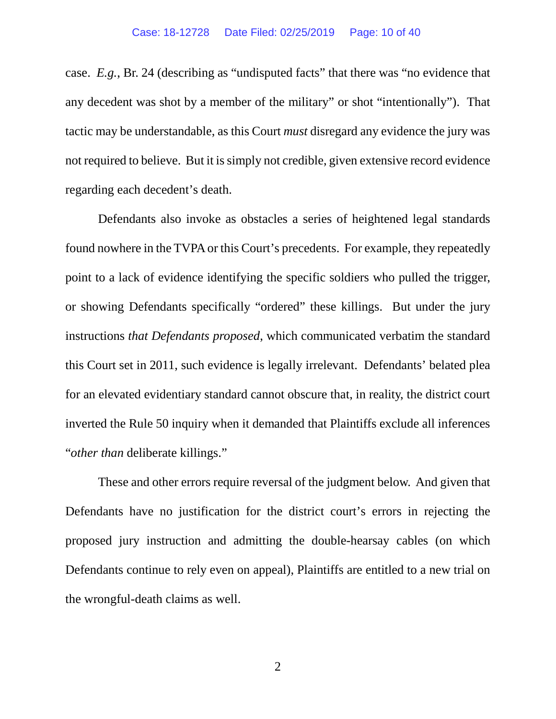case. *E.g.*, Br. 24 (describing as "undisputed facts" that there was "no evidence that any decedent was shot by a member of the military" or shot "intentionally"). That tactic may be understandable, as this Court *must* disregard any evidence the jury was not required to believe. But it is simply not credible, given extensive record evidence regarding each decedent's death.

Defendants also invoke as obstacles a series of heightened legal standards found nowhere in the TVPAor this Court's precedents. For example, they repeatedly point to a lack of evidence identifying the specific soldiers who pulled the trigger, or showing Defendants specifically "ordered" these killings. But under the jury instructions *that Defendants proposed*, which communicated verbatim the standard this Court set in 2011, such evidence is legally irrelevant. Defendants' belated plea for an elevated evidentiary standard cannot obscure that, in reality, the district court inverted the Rule 50 inquiry when it demanded that Plaintiffs exclude all inferences "*other than* deliberate killings."

These and other errors require reversal of the judgment below. And given that Defendants have no justification for the district court's errors in rejecting the proposed jury instruction and admitting the double-hearsay cables (on which Defendants continue to rely even on appeal), Plaintiffs are entitled to a new trial on the wrongful-death claims as well.

2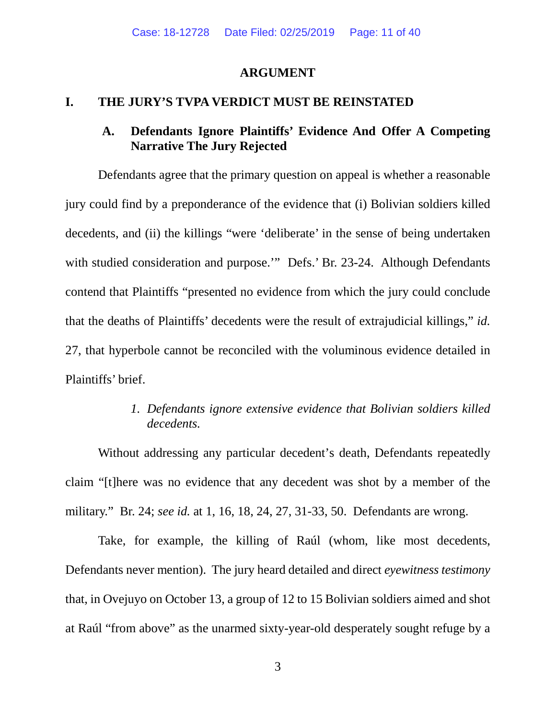### **ARGUMENT**

### **I. THE JURY'S TVPA VERDICT MUST BE REINSTATED**

## **A. Defendants Ignore Plaintiffs' Evidence And Offer A Competing Narrative The Jury Rejected**

Defendants agree that the primary question on appeal is whether a reasonable jury could find by a preponderance of the evidence that (i) Bolivian soldiers killed decedents, and (ii) the killings "were 'deliberate' in the sense of being undertaken with studied consideration and purpose." Defs.' Br. 23-24. Although Defendants contend that Plaintiffs "presented no evidence from which the jury could conclude that the deaths of Plaintiffs' decedents were the result of extrajudicial killings," *id.* 27, that hyperbole cannot be reconciled with the voluminous evidence detailed in Plaintiffs' brief.

### *1. Defendants ignore extensive evidence that Bolivian soldiers killed decedents.*

Without addressing any particular decedent's death, Defendants repeatedly claim "[t]here was no evidence that any decedent was shot by a member of the military." Br. 24; *see id.* at 1, 16, 18, 24, 27, 31-33, 50. Defendants are wrong.

Take, for example, the killing of Raúl (whom, like most decedents, Defendants never mention). The jury heard detailed and direct *eyewitness testimony* that, in Ovejuyo on October 13, a group of 12 to 15 Bolivian soldiers aimed and shot at Raúl "from above" as the unarmed sixty-year-old desperately sought refuge by a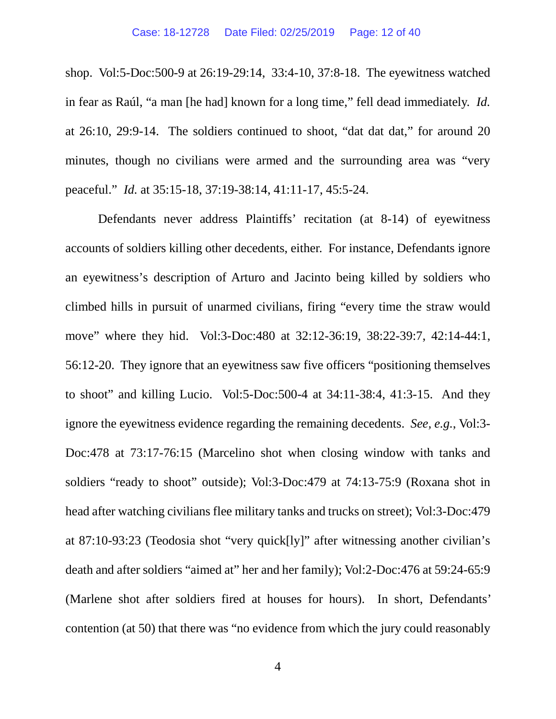shop. Vol:5-Doc:500-9 at 26:19-29:14, 33:4-10, 37:8-18. The eyewitness watched in fear as Raúl, "a man [he had] known for a long time," fell dead immediately. *Id.* at 26:10, 29:9-14. The soldiers continued to shoot, "dat dat dat," for around 20 minutes, though no civilians were armed and the surrounding area was "very peaceful." *Id.* at 35:15-18, 37:19-38:14, 41:11-17, 45:5-24.

Defendants never address Plaintiffs' recitation (at 8-14) of eyewitness accounts of soldiers killing other decedents, either. For instance, Defendants ignore an eyewitness's description of Arturo and Jacinto being killed by soldiers who climbed hills in pursuit of unarmed civilians, firing "every time the straw would move" where they hid. Vol:3-Doc:480 at 32:12-36:19, 38:22-39:7, 42:14-44:1, 56:12-20. They ignore that an eyewitness saw five officers "positioning themselves to shoot" and killing Lucio. Vol:5-Doc:500-4 at 34:11-38:4, 41:3-15. And they ignore the eyewitness evidence regarding the remaining decedents. *See, e.g.*, Vol:3- Doc:478 at 73:17-76:15 (Marcelino shot when closing window with tanks and soldiers "ready to shoot" outside); Vol:3-Doc:479 at 74:13-75:9 (Roxana shot in head after watching civilians flee military tanks and trucks on street); Vol:3-Doc:479 at 87:10-93:23 (Teodosia shot "very quick[ly]" after witnessing another civilian's death and after soldiers "aimed at" her and her family); Vol:2-Doc:476 at 59:24-65:9 (Marlene shot after soldiers fired at houses for hours). In short, Defendants' contention (at 50) that there was "no evidence from which the jury could reasonably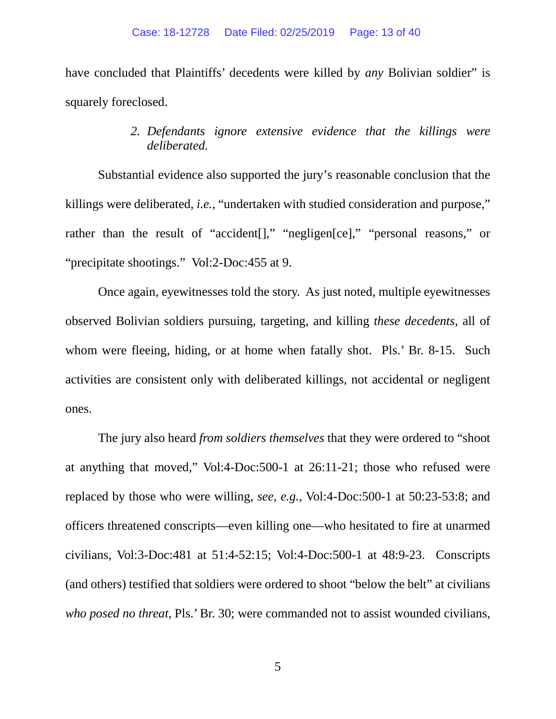have concluded that Plaintiffs' decedents were killed by *any* Bolivian soldier" is squarely foreclosed.

### *2. Defendants ignore extensive evidence that the killings were deliberated.*

Substantial evidence also supported the jury's reasonable conclusion that the killings were deliberated, *i.e.*, "undertaken with studied consideration and purpose," rather than the result of "accident<sup>[]</sup>," "negligen<sup>[ce]</sup>," "personal reasons," or "precipitate shootings." Vol:2-Doc:455 at 9.

Once again, eyewitnesses told the story. As just noted, multiple eyewitnesses observed Bolivian soldiers pursuing, targeting, and killing *these decedents*, all of whom were fleeing, hiding, or at home when fatally shot. Pls.' Br. 8-15. Such activities are consistent only with deliberated killings, not accidental or negligent ones.

The jury also heard *from soldiers themselves* that they were ordered to "shoot at anything that moved," Vol:4-Doc:500-1 at 26:11-21; those who refused were replaced by those who were willing, *see, e.g.*, Vol:4-Doc:500-1 at 50:23-53:8; and officers threatened conscripts—even killing one—who hesitated to fire at unarmed civilians, Vol:3-Doc:481 at 51:4-52:15; Vol:4-Doc:500-1 at 48:9-23. Conscripts (and others) testified that soldiers were ordered to shoot "below the belt" at civilians *who posed no threat*, Pls.' Br. 30; were commanded not to assist wounded civilians,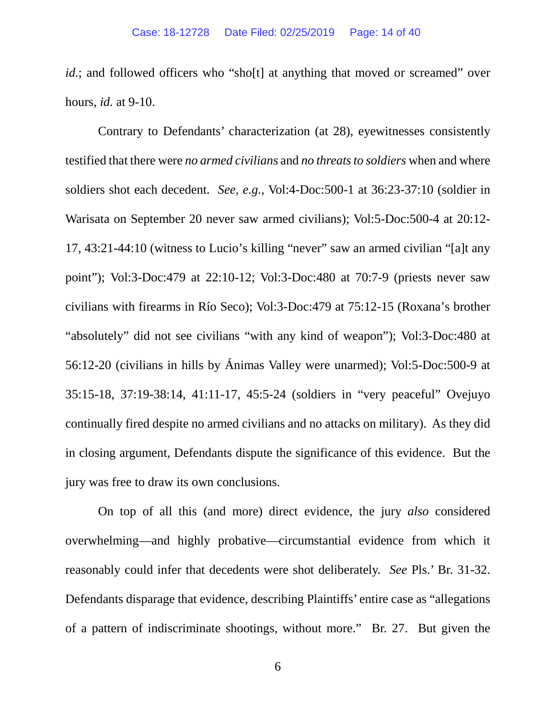*id.*; and followed officers who "sho[t] at anything that moved or screamed" over hours, *id.* at 9-10.

Contrary to Defendants' characterization (at 28), eyewitnesses consistently testified that there were *no armed civilians* and *no threats to soldiers* when and where soldiers shot each decedent. *See, e.g.*, Vol:4-Doc:500-1 at 36:23-37:10 (soldier in Warisata on September 20 never saw armed civilians); Vol:5-Doc:500-4 at 20:12- 17, 43:21-44:10 (witness to Lucio's killing "never" saw an armed civilian "[a]t any point"); Vol:3-Doc:479 at 22:10-12; Vol:3-Doc:480 at 70:7-9 (priests never saw civilians with firearms in Río Seco); Vol:3-Doc:479 at 75:12-15 (Roxana's brother "absolutely" did not see civilians "with any kind of weapon"); Vol:3-Doc:480 at 56:12-20 (civilians in hills by Ánimas Valley were unarmed); Vol:5-Doc:500-9 at 35:15-18, 37:19-38:14, 41:11-17, 45:5-24 (soldiers in "very peaceful" Ovejuyo continually fired despite no armed civilians and no attacks on military). As they did in closing argument, Defendants dispute the significance of this evidence. But the jury was free to draw its own conclusions.

On top of all this (and more) direct evidence, the jury *also* considered overwhelming—and highly probative—circumstantial evidence from which it reasonably could infer that decedents were shot deliberately. *See* Pls.' Br. 31-32. Defendants disparage that evidence, describing Plaintiffs' entire case as "allegations of a pattern of indiscriminate shootings, without more." Br. 27. But given the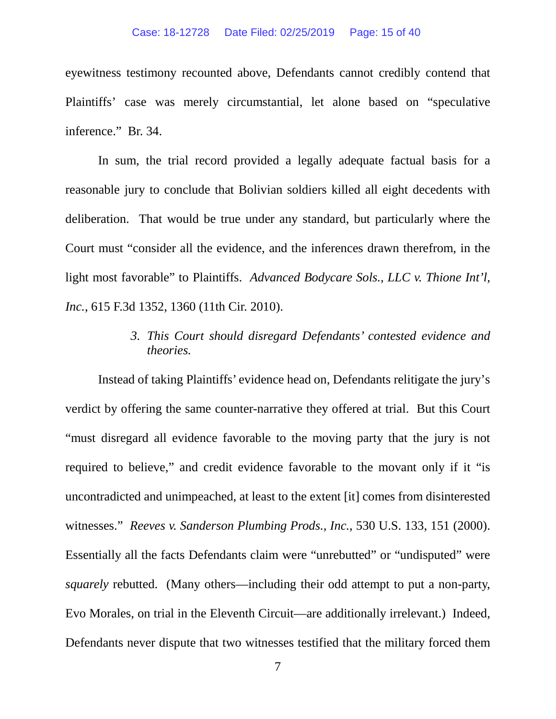#### Case: 18-12728 Date Filed: 02/25/2019 Page: 15 of 40

eyewitness testimony recounted above, Defendants cannot credibly contend that Plaintiffs' case was merely circumstantial, let alone based on "speculative inference." Br. 34.

In sum, the trial record provided a legally adequate factual basis for a reasonable jury to conclude that Bolivian soldiers killed all eight decedents with deliberation. That would be true under any standard, but particularly where the Court must "consider all the evidence, and the inferences drawn therefrom, in the light most favorable" to Plaintiffs. *Advanced Bodycare Sols., LLC v. Thione Int'l, Inc.*, 615 F.3d 1352, 1360 (11th Cir. 2010).

## *3. This Court should disregard Defendants' contested evidence and theories.*

Instead of taking Plaintiffs' evidence head on, Defendants relitigate the jury's verdict by offering the same counter-narrative they offered at trial. But this Court "must disregard all evidence favorable to the moving party that the jury is not required to believe," and credit evidence favorable to the movant only if it "is uncontradicted and unimpeached, at least to the extent [it] comes from disinterested witnesses." *Reeves v. Sanderson Plumbing Prods., Inc.*, 530 U.S. 133, 151 (2000). Essentially all the facts Defendants claim were "unrebutted" or "undisputed" were *squarely* rebutted. (Many others—including their odd attempt to put a non-party, Evo Morales, on trial in the Eleventh Circuit—are additionally irrelevant.) Indeed, Defendants never dispute that two witnesses testified that the military forced them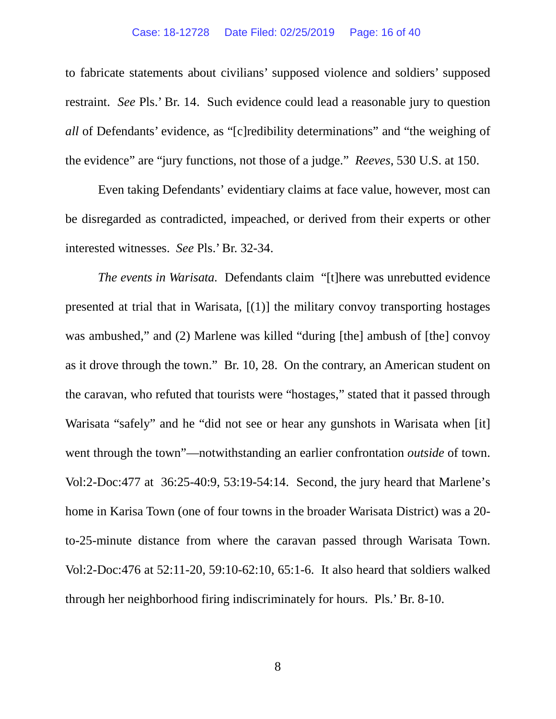#### Case: 18-12728 Date Filed: 02/25/2019 Page: 16 of 40

to fabricate statements about civilians' supposed violence and soldiers' supposed restraint. *See* Pls.' Br. 14. Such evidence could lead a reasonable jury to question *all* of Defendants' evidence, as "[c]redibility determinations" and "the weighing of the evidence" are "jury functions, not those of a judge." *Reeves*, 530 U.S. at 150.

Even taking Defendants' evidentiary claims at face value, however, most can be disregarded as contradicted, impeached, or derived from their experts or other interested witnesses. *See* Pls.' Br. 32-34.

*The events in Warisata.* Defendants claim "[t]here was unrebutted evidence presented at trial that in Warisata, [(1)] the military convoy transporting hostages was ambushed," and (2) Marlene was killed "during [the] ambush of [the] convoy as it drove through the town." Br. 10, 28. On the contrary, an American student on the caravan, who refuted that tourists were "hostages," stated that it passed through Warisata "safely" and he "did not see or hear any gunshots in Warisata when [it] went through the town"—notwithstanding an earlier confrontation *outside* of town. Vol:2-Doc:477 at 36:25-40:9, 53:19-54:14. Second, the jury heard that Marlene's home in Karisa Town (one of four towns in the broader Warisata District) was a 20 to-25-minute distance from where the caravan passed through Warisata Town. Vol:2-Doc:476 at 52:11-20, 59:10-62:10, 65:1-6. It also heard that soldiers walked through her neighborhood firing indiscriminately for hours. Pls.' Br. 8-10.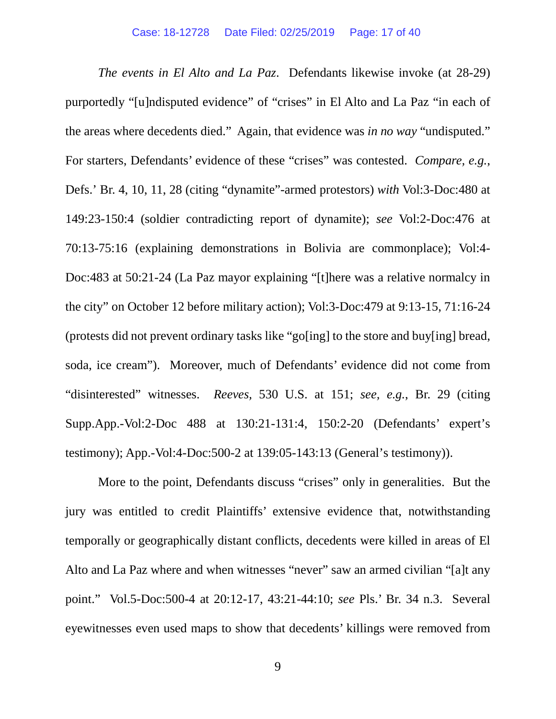*The events in El Alto and La Paz*. Defendants likewise invoke (at 28-29) purportedly "[u]ndisputed evidence" of "crises" in El Alto and La Paz "in each of the areas where decedents died." Again, that evidence was *in no way* "undisputed." For starters, Defendants' evidence of these "crises" was contested. *Compare, e.g.*, Defs.' Br. 4, 10, 11, 28 (citing "dynamite"-armed protestors) *with* Vol:3-Doc:480 at 149:23-150:4 (soldier contradicting report of dynamite); *see* Vol:2-Doc:476 at 70:13-75:16 (explaining demonstrations in Bolivia are commonplace); Vol:4- Doc:483 at 50:21-24 (La Paz mayor explaining "[t]here was a relative normalcy in the city" on October 12 before military action); Vol:3-Doc:479 at 9:13-15, 71:16-24 (protests did not prevent ordinary tasks like "go[ing] to the store and buy[ing] bread, soda, ice cream"). Moreover, much of Defendants' evidence did not come from "disinterested" witnesses. *Reeves,* 530 U.S. at 151; *see, e.g.*, Br. 29 (citing Supp.App.-Vol:2-Doc 488 at 130:21-131:4, 150:2-20 (Defendants' expert's testimony); App.-Vol:4-Doc:500-2 at 139:05-143:13 (General's testimony)).

More to the point, Defendants discuss "crises" only in generalities. But the jury was entitled to credit Plaintiffs' extensive evidence that, notwithstanding temporally or geographically distant conflicts, decedents were killed in areas of El Alto and La Paz where and when witnesses "never" saw an armed civilian "[a]t any point." Vol.5-Doc:500-4 at 20:12-17, 43:21-44:10; *see* Pls.' Br. 34 n.3. Several eyewitnesses even used maps to show that decedents' killings were removed from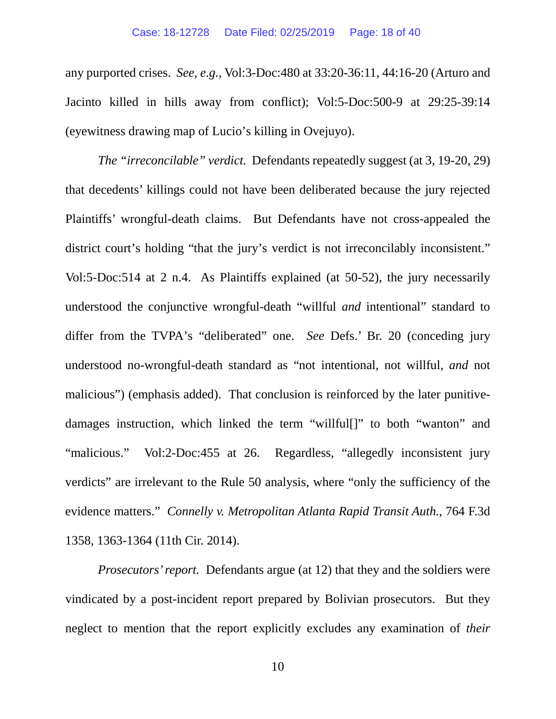any purported crises. *See, e.g.*, Vol:3-Doc:480 at 33:20-36:11, 44:16-20 (Arturo and Jacinto killed in hills away from conflict); Vol:5-Doc:500-9 at 29:25-39:14 (eyewitness drawing map of Lucio's killing in Ovejuyo).

*The "irreconcilable" verdict.* Defendants repeatedly suggest (at 3, 19-20, 29) that decedents' killings could not have been deliberated because the jury rejected Plaintiffs' wrongful-death claims. But Defendants have not cross-appealed the district court's holding "that the jury's verdict is not irreconcilably inconsistent." Vol:5-Doc:514 at 2 n.4. As Plaintiffs explained (at 50-52), the jury necessarily understood the conjunctive wrongful-death "willful *and* intentional" standard to differ from the TVPA's "deliberated" one. *See* Defs.' Br. 20 (conceding jury understood no-wrongful-death standard as "not intentional, not willful, *and* not malicious") (emphasis added). That conclusion is reinforced by the later punitivedamages instruction, which linked the term "willful[]" to both "wanton" and "malicious." Vol:2-Doc:455 at 26. Regardless, "allegedly inconsistent jury verdicts" are irrelevant to the Rule 50 analysis, where "only the sufficiency of the evidence matters." *Connelly v. Metropolitan Atlanta Rapid Transit Auth.*, 764 F.3d 1358, 1363-1364 (11th Cir. 2014).

*Prosecutors' report.* Defendants argue (at 12) that they and the soldiers were vindicated by a post-incident report prepared by Bolivian prosecutors. But they neglect to mention that the report explicitly excludes any examination of *their*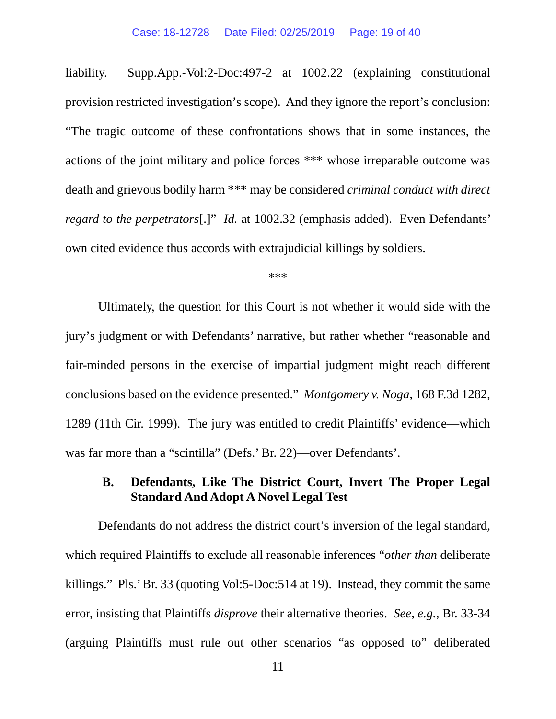liability. Supp.App.-Vol:2-Doc:497-2 at 1002.22 (explaining constitutional provision restricted investigation's scope). And they ignore the report's conclusion: "The tragic outcome of these confrontations shows that in some instances, the actions of the joint military and police forces \*\*\* whose irreparable outcome was death and grievous bodily harm \*\*\* may be considered *criminal conduct with direct regard to the perpetrators*[.]" *Id.* at 1002.32 (emphasis added). Even Defendants' own cited evidence thus accords with extrajudicial killings by soldiers.

\*\*\*

Ultimately, the question for this Court is not whether it would side with the jury's judgment or with Defendants' narrative, but rather whether "reasonable and fair-minded persons in the exercise of impartial judgment might reach different conclusions based on the evidence presented." *Montgomery v. Noga*, 168 F.3d 1282, 1289 (11th Cir. 1999). The jury was entitled to credit Plaintiffs' evidence—which was far more than a "scintilla" (Defs.' Br. 22)—over Defendants'.

### **B. Defendants, Like The District Court, Invert The Proper Legal Standard And Adopt A Novel Legal Test**

Defendants do not address the district court's inversion of the legal standard, which required Plaintiffs to exclude all reasonable inferences "*other than* deliberate killings." Pls.' Br. 33 (quoting Vol:5-Doc:514 at 19). Instead, they commit the same error, insisting that Plaintiffs *disprove* their alternative theories. *See, e.g.*, Br. 33-34 (arguing Plaintiffs must rule out other scenarios "as opposed to" deliberated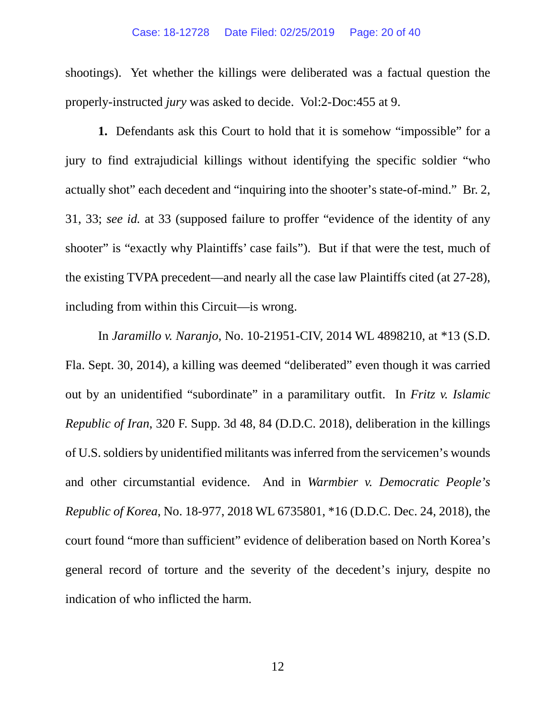#### Case: 18-12728 Date Filed: 02/25/2019 Page: 20 of 40

shootings). Yet whether the killings were deliberated was a factual question the properly-instructed *jury* was asked to decide. Vol:2-Doc:455 at 9.

**1.** Defendants ask this Court to hold that it is somehow "impossible" for a jury to find extrajudicial killings without identifying the specific soldier "who actually shot" each decedent and "inquiring into the shooter's state-of-mind." Br. 2, 31, 33; *see id.* at 33 (supposed failure to proffer "evidence of the identity of any shooter" is "exactly why Plaintiffs' case fails"). But if that were the test, much of the existing TVPA precedent—and nearly all the case law Plaintiffs cited (at 27-28), including from within this Circuit—is wrong.

In *Jaramillo v. Naranjo*, No. 10-21951-CIV, 2014 WL 4898210, at \*13 (S.D. Fla. Sept. 30, 2014), a killing was deemed "deliberated" even though it was carried out by an unidentified "subordinate" in a paramilitary outfit. In *Fritz v. Islamic Republic of Iran*, 320 F. Supp. 3d 48, 84 (D.D.C. 2018), deliberation in the killings of U.S. soldiers by unidentified militants was inferred from the servicemen's wounds and other circumstantial evidence. And in *Warmbier v. Democratic People's Republic of Korea*, No. 18-977, 2018 WL 6735801, \*16 (D.D.C. Dec. 24, 2018), the court found "more than sufficient" evidence of deliberation based on North Korea's general record of torture and the severity of the decedent's injury, despite no indication of who inflicted the harm.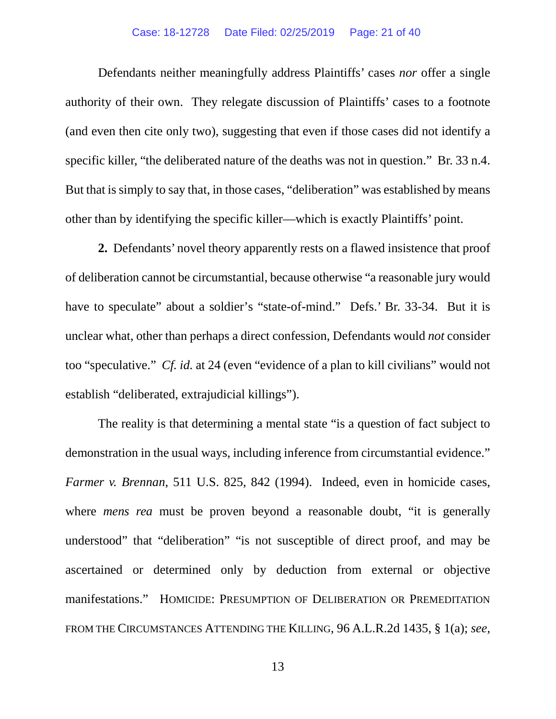#### Case: 18-12728 Date Filed: 02/25/2019 Page: 21 of 40

Defendants neither meaningfully address Plaintiffs' cases *nor* offer a single authority of their own. They relegate discussion of Plaintiffs' cases to a footnote (and even then cite only two), suggesting that even if those cases did not identify a specific killer, "the deliberated nature of the deaths was not in question." Br. 33 n.4. But that is simply to say that, in those cases, "deliberation" was established by means other than by identifying the specific killer—which is exactly Plaintiffs' point.

**2.** Defendants' novel theory apparently rests on a flawed insistence that proof of deliberation cannot be circumstantial, because otherwise "a reasonable jury would have to speculate" about a soldier's "state-of-mind." Defs.' Br. 33-34. But it is unclear what, other than perhaps a direct confession, Defendants would *not* consider too "speculative." *Cf. id.* at 24 (even "evidence of a plan to kill civilians" would not establish "deliberated, extrajudicial killings").

The reality is that determining a mental state "is a question of fact subject to demonstration in the usual ways, including inference from circumstantial evidence." *Farmer v. Brennan*, 511 U.S. 825, 842 (1994). Indeed, even in homicide cases, where *mens rea* must be proven beyond a reasonable doubt, "it is generally understood" that "deliberation" "is not susceptible of direct proof, and may be ascertained or determined only by deduction from external or objective manifestations." HOMICIDE: PRESUMPTION OF DELIBERATION OR PREMEDITATION FROM THE CIRCUMSTANCES ATTENDING THE KILLING, 96 A.L.R.2d 1435, § 1(a); *see,*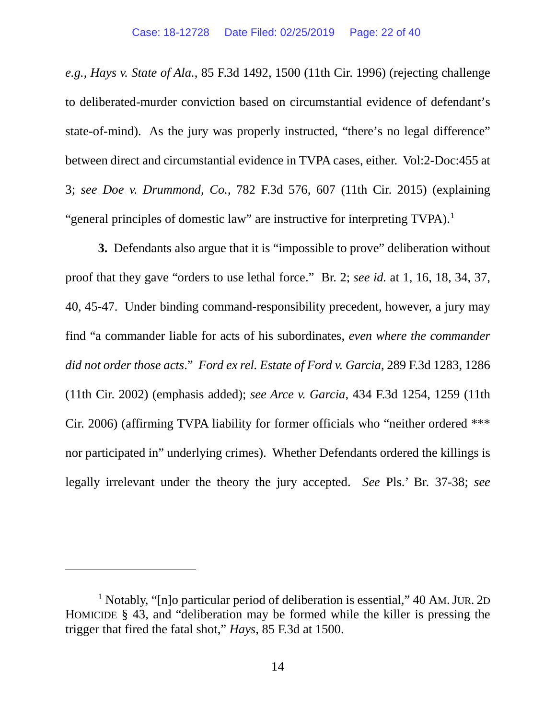*e.g.*, *Hays v. State of Ala.*, 85 F.3d 1492, 1500 (11th Cir. 1996) (rejecting challenge to deliberated-murder conviction based on circumstantial evidence of defendant's state-of-mind). As the jury was properly instructed, "there's no legal difference" between direct and circumstantial evidence in TVPA cases, either. Vol:2-Doc:455 at 3; *see Doe v. Drummond, Co.*, 782 F.3d 576, 607 (11th Cir. 2015) (explaining "general principles of domestic law" are instructive for interpreting TVPA).<sup>1</sup>

**3.** Defendants also argue that it is "impossible to prove" deliberation without proof that they gave "orders to use lethal force." Br. 2; *see id.* at 1, 16, 18, 34, 37, 40, 45-47. Under binding command-responsibility precedent, however, a jury may find "a commander liable for acts of his subordinates, *even where the commander did not order those acts*." *Ford ex rel. Estate of Ford v. Garcia*, 289 F.3d 1283, 1286 (11th Cir. 2002) (emphasis added); *see Arce v. Garcia*, 434 F.3d 1254, 1259 (11th Cir. 2006) (affirming TVPA liability for former officials who "neither ordered \*\*\* nor participated in" underlying crimes). Whether Defendants ordered the killings is legally irrelevant under the theory the jury accepted. *See* Pls.' Br. 37-38; *see* 

 $\overline{a}$ 

<sup>&</sup>lt;sup>1</sup> Notably, "[n]o particular period of deliberation is essential," 40 AM. JUR. 2D HOMICIDE § 43, and "deliberation may be formed while the killer is pressing the trigger that fired the fatal shot," *Hays*, 85 F.3d at 1500.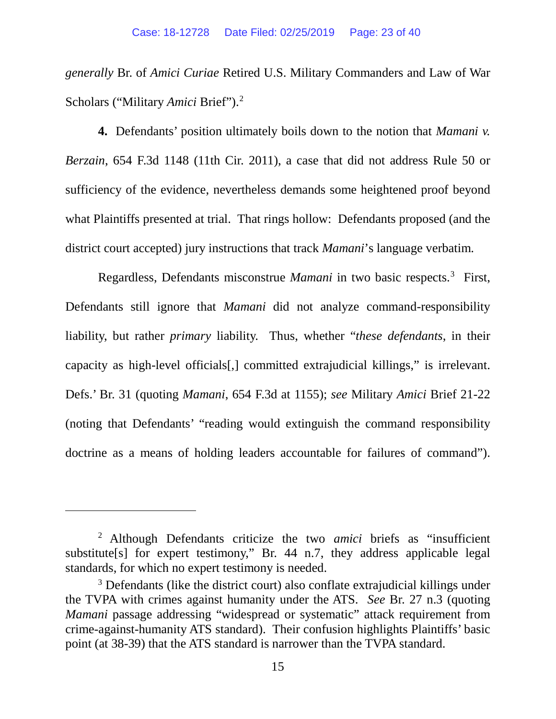*generally* Br. of *Amici Curiae* Retired U.S. Military Commanders and Law of War Scholars ("Military *Amici* Brief"). 2

**4.** Defendants' position ultimately boils down to the notion that *Mamani v. Berzain*, 654 F.3d 1148 (11th Cir. 2011), a case that did not address Rule 50 or sufficiency of the evidence, nevertheless demands some heightened proof beyond what Plaintiffs presented at trial. That rings hollow: Defendants proposed (and the district court accepted) jury instructions that track *Mamani*'s language verbatim.

Regardless, Defendants misconstrue *Mamani* in two basic respects.<sup>3</sup> First, Defendants still ignore that *Mamani* did not analyze command-responsibility liability, but rather *primary* liability. Thus, whether "*these defendants*, in their capacity as high-level officials[,] committed extrajudicial killings," is irrelevant. Defs.' Br. 31 (quoting *Mamani*, 654 F.3d at 1155); *see* Military *Amici* Brief 21-22 (noting that Defendants' "reading would extinguish the command responsibility doctrine as a means of holding leaders accountable for failures of command").

 $\overline{a}$ 

<sup>2</sup> Although Defendants criticize the two *amici* briefs as "insufficient substitute[s] for expert testimony," Br. 44 n.7, they address applicable legal standards, for which no expert testimony is needed.

<sup>&</sup>lt;sup>3</sup> Defendants (like the district court) also conflate extrajudicial killings under the TVPA with crimes against humanity under the ATS. *See* Br. 27 n.3 (quoting *Mamani* passage addressing "widespread or systematic" attack requirement from crime-against-humanity ATS standard). Their confusion highlights Plaintiffs' basic point (at 38-39) that the ATS standard is narrower than the TVPA standard.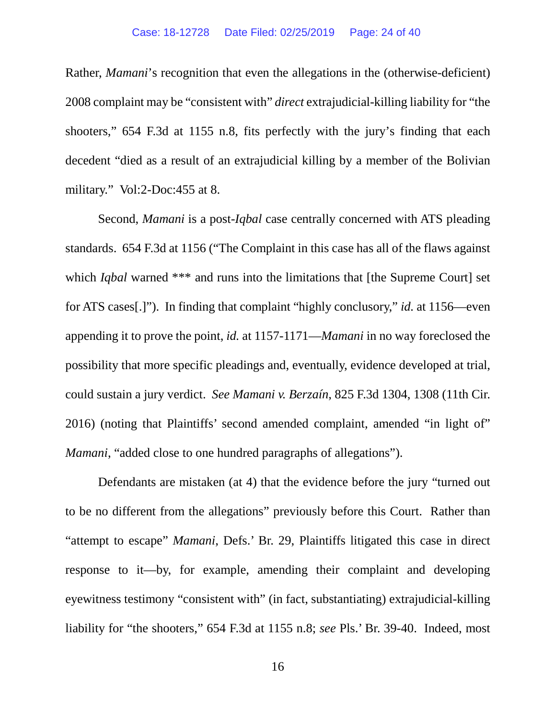Rather, *Mamani*'s recognition that even the allegations in the (otherwise-deficient) 2008 complaint may be "consistent with" *direct* extrajudicial-killing liability for "the shooters," 654 F.3d at 1155 n.8, fits perfectly with the jury's finding that each decedent "died as a result of an extrajudicial killing by a member of the Bolivian military." Vol:2-Doc:455 at 8.

Second, *Mamani* is a post-*Iqbal* case centrally concerned with ATS pleading standards. 654 F.3d at 1156 ("The Complaint in this case has all of the flaws against which *Iqbal* warned \*\*\* and runs into the limitations that [the Supreme Court] set for ATS cases[.]"). In finding that complaint "highly conclusory," *id.* at 1156—even appending it to prove the point, *id.* at 1157-1171—*Mamani* in no way foreclosed the possibility that more specific pleadings and, eventually, evidence developed at trial, could sustain a jury verdict. *See Mamani v. Berzaín*, 825 F.3d 1304, 1308 (11th Cir. 2016) (noting that Plaintiffs' second amended complaint, amended "in light of" *Mamani*, "added close to one hundred paragraphs of allegations").

Defendants are mistaken (at 4) that the evidence before the jury "turned out to be no different from the allegations" previously before this Court. Rather than "attempt to escape" *Mamani*, Defs.' Br. 29, Plaintiffs litigated this case in direct response to it—by, for example, amending their complaint and developing eyewitness testimony "consistent with" (in fact, substantiating) extrajudicial-killing liability for "the shooters," 654 F.3d at 1155 n.8; *see* Pls.' Br. 39-40. Indeed, most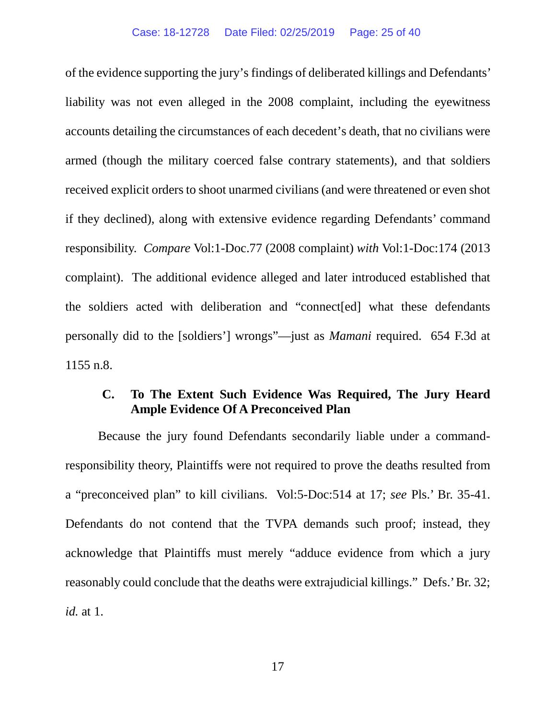of the evidence supporting the jury's findings of deliberated killings and Defendants' liability was not even alleged in the 2008 complaint, including the eyewitness accounts detailing the circumstances of each decedent's death, that no civilians were armed (though the military coerced false contrary statements), and that soldiers received explicit orders to shoot unarmed civilians (and were threatened or even shot if they declined), along with extensive evidence regarding Defendants' command responsibility. *Compare* Vol:1-Doc.77 (2008 complaint) *with* Vol:1-Doc:174 (2013 complaint). The additional evidence alleged and later introduced established that the soldiers acted with deliberation and "connect[ed] what these defendants personally did to the [soldiers'] wrongs"—just as *Mamani* required. 654 F.3d at 1155 n.8.

### **C. To The Extent Such Evidence Was Required, The Jury Heard Ample Evidence Of A Preconceived Plan**

Because the jury found Defendants secondarily liable under a commandresponsibility theory, Plaintiffs were not required to prove the deaths resulted from a "preconceived plan" to kill civilians. Vol:5-Doc:514 at 17; *see* Pls.' Br. 35-41. Defendants do not contend that the TVPA demands such proof; instead, they acknowledge that Plaintiffs must merely "adduce evidence from which a jury reasonably could conclude that the deaths were extrajudicial killings." Defs.' Br. 32; *id.* at 1.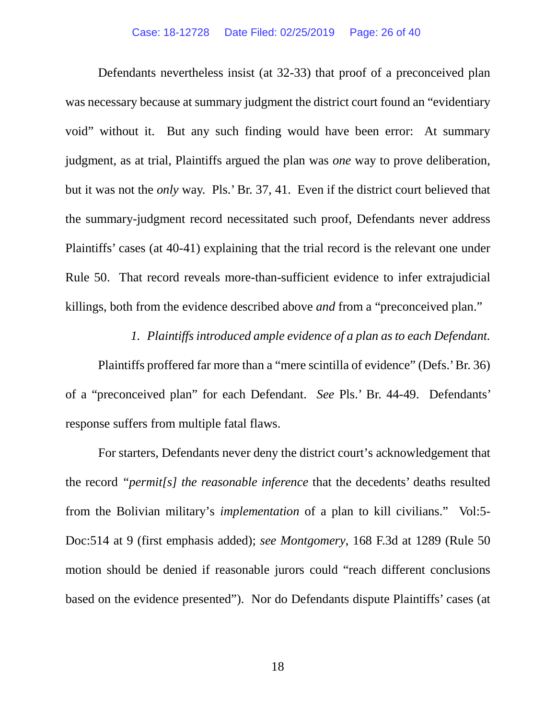Defendants nevertheless insist (at 32-33) that proof of a preconceived plan was necessary because at summary judgment the district court found an "evidentiary void" without it. But any such finding would have been error: At summary judgment, as at trial, Plaintiffs argued the plan was *one* way to prove deliberation, but it was not the *only* way. Pls.' Br. 37, 41. Even if the district court believed that the summary-judgment record necessitated such proof, Defendants never address Plaintiffs' cases (at 40-41) explaining that the trial record is the relevant one under Rule 50. That record reveals more-than-sufficient evidence to infer extrajudicial killings, both from the evidence described above *and* from a "preconceived plan."

### *1. Plaintiffs introduced ample evidence of a plan as to each Defendant.*

Plaintiffs proffered far more than a "mere scintilla of evidence" (Defs.' Br. 36) of a "preconceived plan" for each Defendant. *See* Pls.' Br. 44-49. Defendants' response suffers from multiple fatal flaws.

For starters, Defendants never deny the district court's acknowledgement that the record *"permit[s] the reasonable inference* that the decedents' deaths resulted from the Bolivian military's *implementation* of a plan to kill civilians." Vol:5- Doc:514 at 9 (first emphasis added); *see Montgomery*, 168 F.3d at 1289 (Rule 50 motion should be denied if reasonable jurors could "reach different conclusions based on the evidence presented"). Nor do Defendants dispute Plaintiffs' cases (at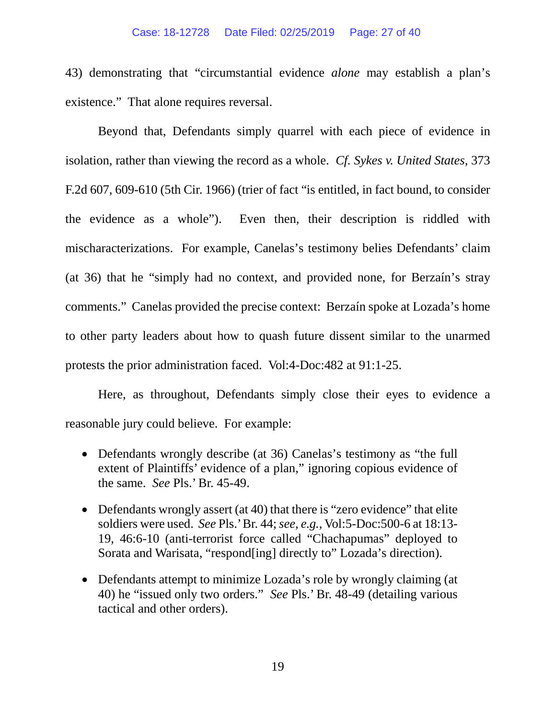43) demonstrating that "circumstantial evidence *alone* may establish a plan's existence." That alone requires reversal.

Beyond that, Defendants simply quarrel with each piece of evidence in isolation, rather than viewing the record as a whole. *Cf. Sykes v. United States*, 373 F.2d 607, 609-610 (5th Cir. 1966) (trier of fact "is entitled, in fact bound, to consider the evidence as a whole"). Even then, their description is riddled with mischaracterizations. For example, Canelas's testimony belies Defendants' claim (at 36) that he "simply had no context, and provided none, for Berzaín's stray comments." Canelas provided the precise context: Berzaín spoke at Lozada's home to other party leaders about how to quash future dissent similar to the unarmed protests the prior administration faced. Vol:4-Doc:482 at 91:1-25.

Here, as throughout, Defendants simply close their eyes to evidence a reasonable jury could believe. For example:

- Defendants wrongly describe (at 36) Canelas's testimony as "the full extent of Plaintiffs' evidence of a plan," ignoring copious evidence of the same. *See* Pls.' Br. 45-49.
- Defendants wrongly assert (at 40) that there is "zero evidence" that elite soldiers were used. *See* Pls.' Br. 44; *see, e.g.*, Vol:5-Doc:500-6 at 18:13- 19, 46:6-10 (anti-terrorist force called "Chachapumas" deployed to Sorata and Warisata, "respond[ing] directly to" Lozada's direction).
- Defendants attempt to minimize Lozada's role by wrongly claiming (at 40) he "issued only two orders." *See* Pls.' Br. 48-49 (detailing various tactical and other orders).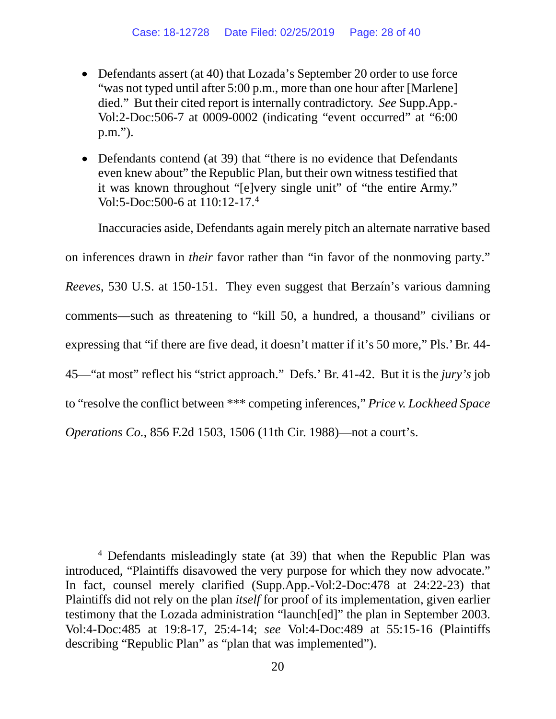- Defendants assert (at 40) that Lozada's September 20 order to use force "was not typed until after 5:00 p.m., more than one hour after [Marlene] died." But their cited report is internally contradictory. *See* Supp.App.- Vol:2-Doc:506-7 at 0009-0002 (indicating "event occurred" at "6:00 p.m.").
- Defendants contend (at 39) that "there is no evidence that Defendants even knew about" the Republic Plan, but their own witness testified that it was known throughout "[e]very single unit" of "the entire Army." Vol:5-Doc:500-6 at 110:12-17.4

Inaccuracies aside, Defendants again merely pitch an alternate narrative based

on inferences drawn in *their* favor rather than "in favor of the nonmoving party."

*Reeves*, 530 U.S. at 150-151. They even suggest that Berzaín's various damning comments—such as threatening to "kill 50, a hundred, a thousand" civilians or expressing that "if there are five dead, it doesn't matter if it's 50 more," Pls.' Br. 44- 45—"at most" reflect his "strict approach." Defs.' Br. 41-42. But it is the *jury's* job to "resolve the conflict between \*\*\* competing inferences," *Price v. Lockheed Space Operations Co.*, 856 F.2d 1503, 1506 (11th Cir. 1988)—not a court's.

 $\overline{a}$ 

<sup>4</sup> Defendants misleadingly state (at 39) that when the Republic Plan was introduced, "Plaintiffs disavowed the very purpose for which they now advocate." In fact, counsel merely clarified (Supp.App.-Vol:2-Doc:478 at 24:22-23) that Plaintiffs did not rely on the plan *itself* for proof of its implementation, given earlier testimony that the Lozada administration "launch[ed]" the plan in September 2003. Vol:4-Doc:485 at 19:8-17, 25:4-14; *see* Vol:4-Doc:489 at 55:15-16 (Plaintiffs describing "Republic Plan" as "plan that was implemented").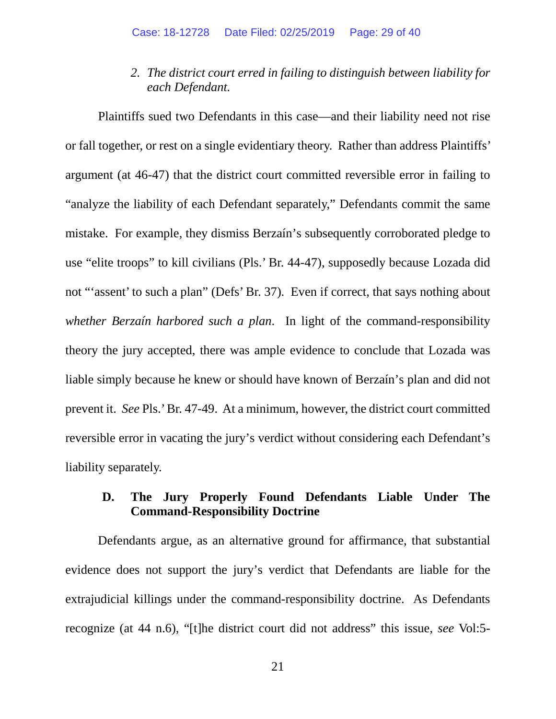### *2. The district court erred in failing to distinguish between liability for each Defendant.*

Plaintiffs sued two Defendants in this case—and their liability need not rise or fall together, or rest on a single evidentiary theory. Rather than address Plaintiffs' argument (at 46-47) that the district court committed reversible error in failing to "analyze the liability of each Defendant separately," Defendants commit the same mistake. For example, they dismiss Berzaín's subsequently corroborated pledge to use "elite troops" to kill civilians (Pls.' Br. 44-47), supposedly because Lozada did not "'assent' to such a plan" (Defs' Br. 37). Even if correct, that says nothing about *whether Berzaín harbored such a plan*. In light of the command-responsibility theory the jury accepted, there was ample evidence to conclude that Lozada was liable simply because he knew or should have known of Berzaín's plan and did not prevent it. *See* Pls.' Br. 47-49. At a minimum, however, the district court committed reversible error in vacating the jury's verdict without considering each Defendant's liability separately.

### **D. The Jury Properly Found Defendants Liable Under The Command-Responsibility Doctrine**

Defendants argue, as an alternative ground for affirmance, that substantial evidence does not support the jury's verdict that Defendants are liable for the extrajudicial killings under the command-responsibility doctrine. As Defendants recognize (at 44 n.6), "[t]he district court did not address" this issue, *see* Vol:5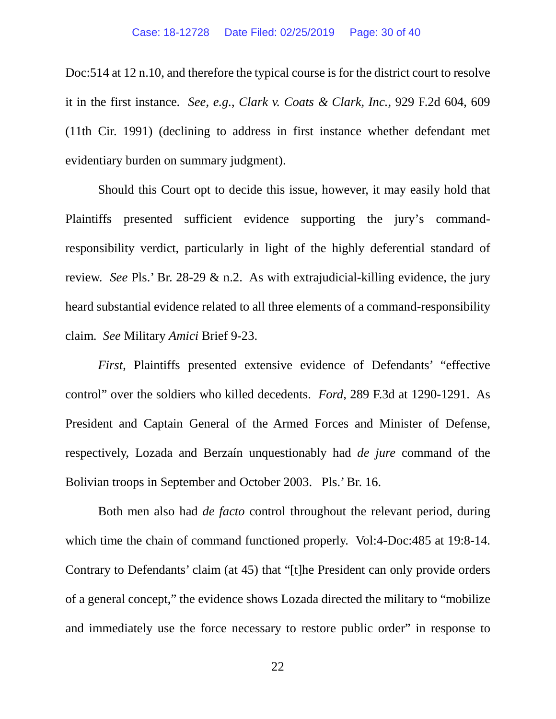Doc:514 at 12 n.10, and therefore the typical course is for the district court to resolve it in the first instance. *See, e.g.*, *Clark v. Coats & Clark, Inc.*, 929 F.2d 604, 609 (11th Cir. 1991) (declining to address in first instance whether defendant met evidentiary burden on summary judgment).

Should this Court opt to decide this issue, however, it may easily hold that Plaintiffs presented sufficient evidence supporting the jury's commandresponsibility verdict, particularly in light of the highly deferential standard of review. *See* Pls.' Br. 28-29 & n.2. As with extrajudicial-killing evidence, the jury heard substantial evidence related to all three elements of a command-responsibility claim. *See* Military *Amici* Brief 9-23.

*First*, Plaintiffs presented extensive evidence of Defendants' "effective control" over the soldiers who killed decedents. *Ford*, 289 F.3d at 1290-1291. As President and Captain General of the Armed Forces and Minister of Defense, respectively, Lozada and Berzaín unquestionably had *de jure* command of the Bolivian troops in September and October 2003. Pls.' Br. 16.

Both men also had *de facto* control throughout the relevant period, during which time the chain of command functioned properly. Vol:4-Doc:485 at 19:8-14. Contrary to Defendants' claim (at 45) that "[t]he President can only provide orders of a general concept," the evidence shows Lozada directed the military to "mobilize and immediately use the force necessary to restore public order" in response to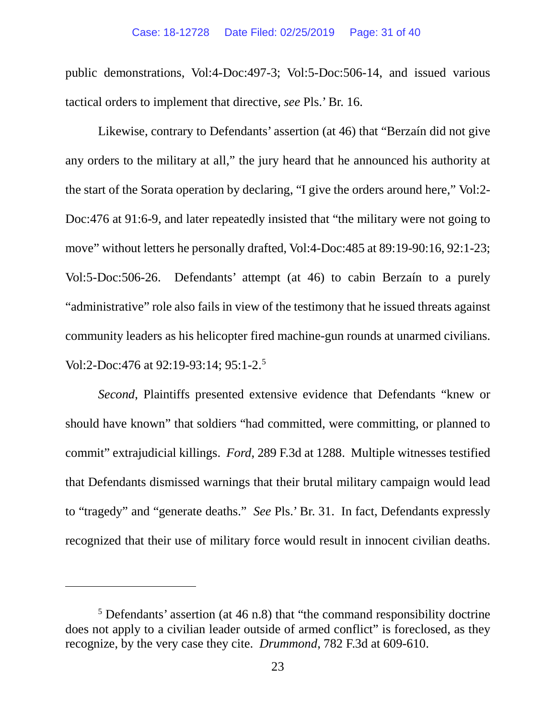#### Case: 18-12728 Date Filed: 02/25/2019 Page: 31 of 40

public demonstrations, Vol:4-Doc:497-3; Vol:5-Doc:506-14, and issued various tactical orders to implement that directive, *see* Pls.' Br. 16.

Likewise, contrary to Defendants' assertion (at 46) that "Berzaín did not give any orders to the military at all," the jury heard that he announced his authority at the start of the Sorata operation by declaring, "I give the orders around here," Vol:2- Doc:476 at 91:6-9, and later repeatedly insisted that "the military were not going to move" without letters he personally drafted, Vol:4-Doc:485 at 89:19-90:16, 92:1-23; Vol:5-Doc:506-26. Defendants' attempt (at 46) to cabin Berzaín to a purely "administrative" role also fails in view of the testimony that he issued threats against community leaders as his helicopter fired machine-gun rounds at unarmed civilians. Vol:2-Doc:476 at 92:19-93:14; 95:1-2.<sup>5</sup>

*Second*, Plaintiffs presented extensive evidence that Defendants "knew or should have known" that soldiers "had committed, were committing, or planned to commit" extrajudicial killings. *Ford*, 289 F.3d at 1288. Multiple witnesses testified that Defendants dismissed warnings that their brutal military campaign would lead to "tragedy" and "generate deaths." *See* Pls.' Br. 31. In fact, Defendants expressly recognized that their use of military force would result in innocent civilian deaths.

 $\overline{a}$ 

<sup>5</sup> Defendants' assertion (at 46 n.8) that "the command responsibility doctrine does not apply to a civilian leader outside of armed conflict" is foreclosed, as they recognize, by the very case they cite. *Drummond*, 782 F.3d at 609-610.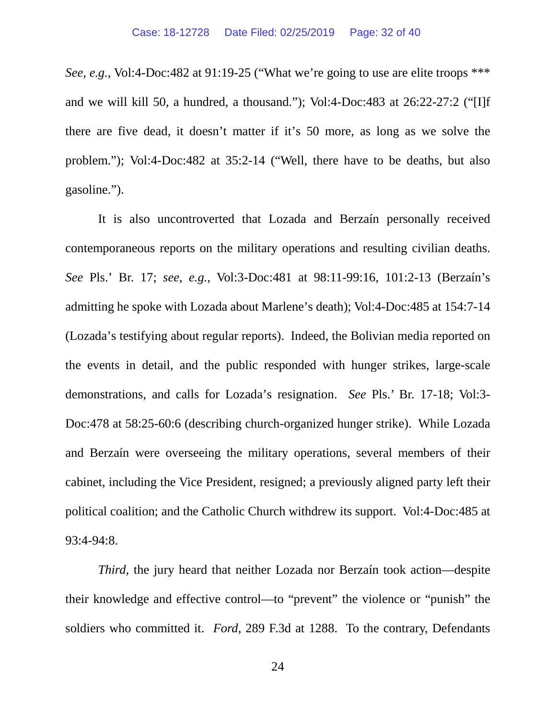*See, e.g.*, Vol:4-Doc:482 at 91:19-25 ("What we're going to use are elite troops \*\*\* and we will kill 50, a hundred, a thousand."); Vol:4-Doc:483 at 26:22-27:2 ("[I]f there are five dead, it doesn't matter if it's 50 more, as long as we solve the problem."); Vol:4-Doc:482 at 35:2-14 ("Well, there have to be deaths, but also gasoline.").

It is also uncontroverted that Lozada and Berzaín personally received contemporaneous reports on the military operations and resulting civilian deaths. *See* Pls.' Br. 17; *see, e.g.*, Vol:3-Doc:481 at 98:11-99:16, 101:2-13 (Berzaín's admitting he spoke with Lozada about Marlene's death); Vol:4-Doc:485 at 154:7-14 (Lozada's testifying about regular reports). Indeed, the Bolivian media reported on the events in detail, and the public responded with hunger strikes, large-scale demonstrations, and calls for Lozada's resignation. *See* Pls.' Br. 17-18; Vol:3- Doc:478 at 58:25-60:6 (describing church-organized hunger strike). While Lozada and Berzaín were overseeing the military operations, several members of their cabinet, including the Vice President, resigned; a previously aligned party left their political coalition; and the Catholic Church withdrew its support. Vol:4-Doc:485 at 93:4-94:8.

*Third*, the jury heard that neither Lozada nor Berzaín took action—despite their knowledge and effective control—to "prevent" the violence or "punish" the soldiers who committed it. *Ford*, 289 F.3d at 1288. To the contrary, Defendants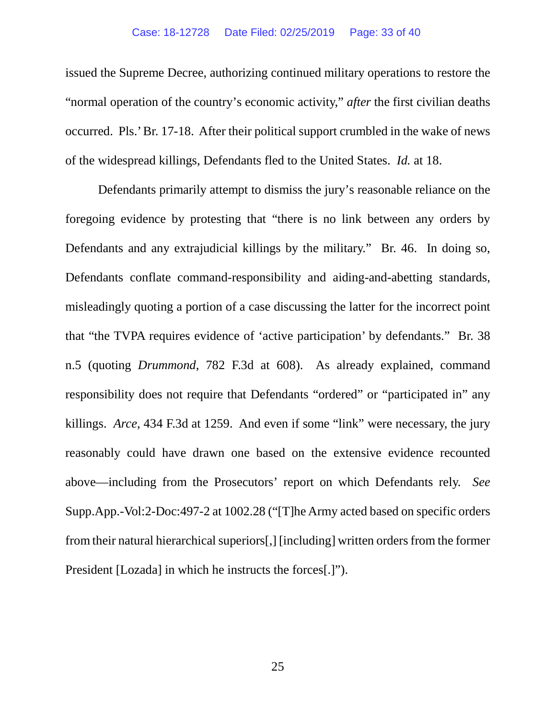#### Case: 18-12728 Date Filed: 02/25/2019 Page: 33 of 40

issued the Supreme Decree, authorizing continued military operations to restore the "normal operation of the country's economic activity," *after* the first civilian deaths occurred. Pls.' Br. 17-18. After their political support crumbled in the wake of news of the widespread killings, Defendants fled to the United States. *Id.* at 18.

Defendants primarily attempt to dismiss the jury's reasonable reliance on the foregoing evidence by protesting that "there is no link between any orders by Defendants and any extrajudicial killings by the military." Br. 46. In doing so, Defendants conflate command-responsibility and aiding-and-abetting standards, misleadingly quoting a portion of a case discussing the latter for the incorrect point that "the TVPA requires evidence of 'active participation' by defendants." Br. 38 n.5 (quoting *Drummond*, 782 F.3d at 608). As already explained, command responsibility does not require that Defendants "ordered" or "participated in" any killings. *Arce*, 434 F.3d at 1259. And even if some "link" were necessary, the jury reasonably could have drawn one based on the extensive evidence recounted above—including from the Prosecutors' report on which Defendants rely. *See* Supp.App.-Vol:2-Doc:497-2 at 1002.28 ("[T]he Army acted based on specific orders from their natural hierarchical superiors[,] [including] written orders from the former President [Lozada] in which he instructs the forces[.]").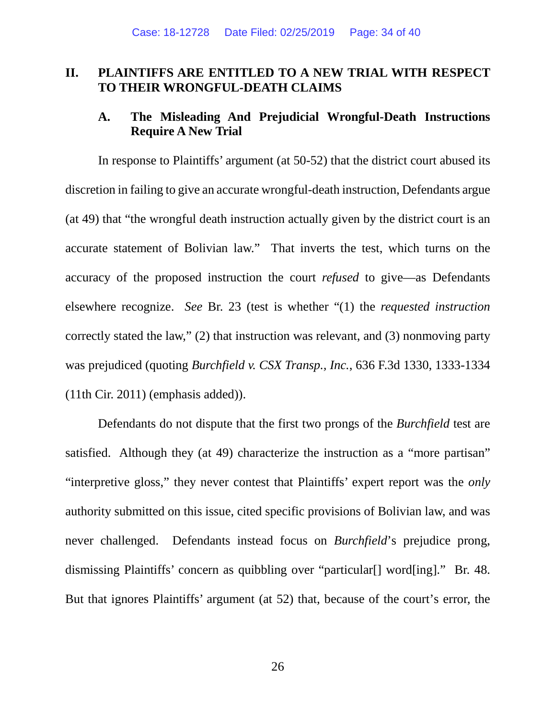### **II. PLAINTIFFS ARE ENTITLED TO A NEW TRIAL WITH RESPECT TO THEIR WRONGFUL-DEATH CLAIMS**

### **A. The Misleading And Prejudicial Wrongful-Death Instructions Require A New Trial**

In response to Plaintiffs' argument (at 50-52) that the district court abused its discretion in failing to give an accurate wrongful-death instruction, Defendants argue (at 49) that "the wrongful death instruction actually given by the district court is an accurate statement of Bolivian law." That inverts the test, which turns on the accuracy of the proposed instruction the court *refused* to give—as Defendants elsewhere recognize. *See* Br. 23 (test is whether "(1) the *requested instruction* correctly stated the law," (2) that instruction was relevant, and (3) nonmoving party was prejudiced (quoting *Burchfield v. CSX Transp., Inc.*, 636 F.3d 1330, 1333-1334 (11th Cir. 2011) (emphasis added)).

Defendants do not dispute that the first two prongs of the *Burchfield* test are satisfied. Although they (at 49) characterize the instruction as a "more partisan" "interpretive gloss," they never contest that Plaintiffs' expert report was the *only* authority submitted on this issue, cited specific provisions of Bolivian law, and was never challenged. Defendants instead focus on *Burchfield*'s prejudice prong, dismissing Plaintiffs' concern as quibbling over "particular[] word[ing]." Br. 48. But that ignores Plaintiffs' argument (at 52) that, because of the court's error, the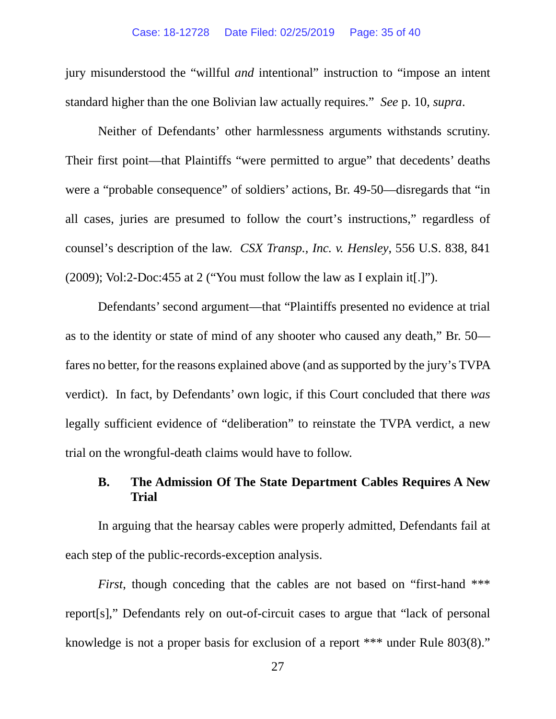jury misunderstood the "willful *and* intentional" instruction to "impose an intent standard higher than the one Bolivian law actually requires." *See* p. 10, *supra*.

Neither of Defendants' other harmlessness arguments withstands scrutiny. Their first point—that Plaintiffs "were permitted to argue" that decedents' deaths were a "probable consequence" of soldiers' actions, Br. 49-50—disregards that "in all cases, juries are presumed to follow the court's instructions," regardless of counsel's description of the law. *CSX Transp., Inc. v. Hensley*, 556 U.S. 838, 841 (2009); Vol:2-Doc:455 at 2 ("You must follow the law as I explain it[.]").

Defendants' second argument—that "Plaintiffs presented no evidence at trial as to the identity or state of mind of any shooter who caused any death," Br. 50 fares no better, for the reasons explained above (and as supported by the jury's TVPA verdict). In fact, by Defendants' own logic, if this Court concluded that there *was* legally sufficient evidence of "deliberation" to reinstate the TVPA verdict, a new trial on the wrongful-death claims would have to follow.

### **B. The Admission Of The State Department Cables Requires A New Trial**

In arguing that the hearsay cables were properly admitted, Defendants fail at each step of the public-records-exception analysis.

*First*, though conceding that the cables are not based on "first-hand \*\*\* report[s]," Defendants rely on out-of-circuit cases to argue that "lack of personal knowledge is not a proper basis for exclusion of a report \*\*\* under Rule 803(8)."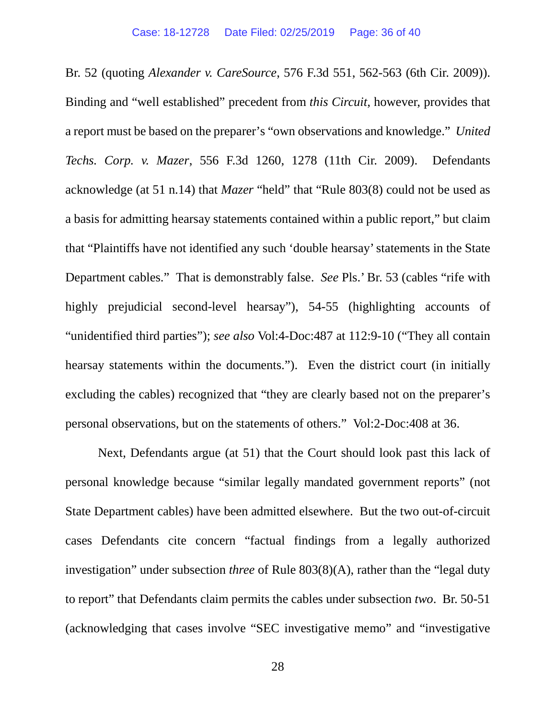Br. 52 (quoting *Alexander v. CareSource*, 576 F.3d 551, 562-563 (6th Cir. 2009)). Binding and "well established" precedent from *this Circuit*, however, provides that a report must be based on the preparer's "own observations and knowledge." *United Techs. Corp. v. Mazer*, 556 F.3d 1260, 1278 (11th Cir. 2009). Defendants acknowledge (at 51 n.14) that *Mazer* "held" that "Rule 803(8) could not be used as a basis for admitting hearsay statements contained within a public report," but claim that "Plaintiffs have not identified any such 'double hearsay' statements in the State Department cables." That is demonstrably false. *See* Pls.' Br. 53 (cables "rife with highly prejudicial second-level hearsay"), 54-55 (highlighting accounts of "unidentified third parties"); *see also* Vol:4-Doc:487 at 112:9-10 ("They all contain hearsay statements within the documents."). Even the district court (in initially excluding the cables) recognized that "they are clearly based not on the preparer's personal observations, but on the statements of others." Vol:2-Doc:408 at 36.

Next, Defendants argue (at 51) that the Court should look past this lack of personal knowledge because "similar legally mandated government reports" (not State Department cables) have been admitted elsewhere. But the two out-of-circuit cases Defendants cite concern "factual findings from a legally authorized investigation" under subsection *three* of Rule 803(8)(A), rather than the "legal duty to report" that Defendants claim permits the cables under subsection *two*. Br. 50-51 (acknowledging that cases involve "SEC investigative memo" and "investigative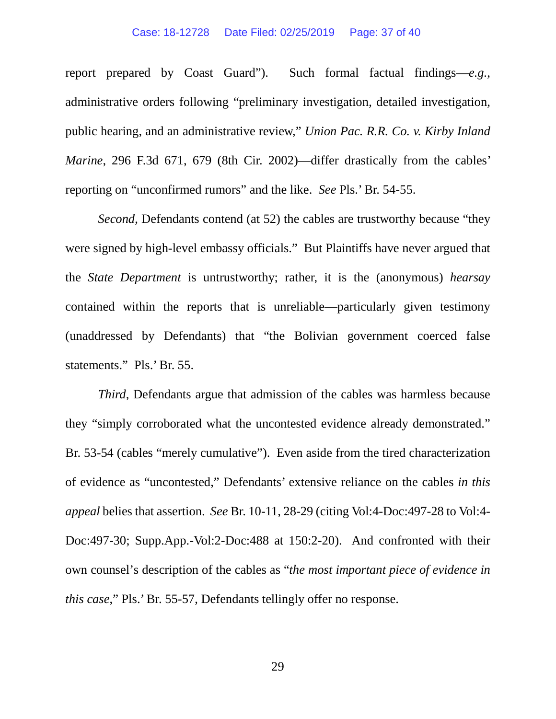#### Case: 18-12728 Date Filed: 02/25/2019 Page: 37 of 40

report prepared by Coast Guard"). Such formal factual findings—*e.g.*, administrative orders following "preliminary investigation, detailed investigation, public hearing, and an administrative review," *Union Pac. R.R. Co. v. Kirby Inland Marine*, 296 F.3d 671, 679 (8th Cir. 2002)—differ drastically from the cables' reporting on "unconfirmed rumors" and the like. *See* Pls.' Br. 54-55.

*Second*, Defendants contend (at 52) the cables are trustworthy because "they were signed by high-level embassy officials." But Plaintiffs have never argued that the *State Department* is untrustworthy; rather, it is the (anonymous) *hearsay* contained within the reports that is unreliable—particularly given testimony (unaddressed by Defendants) that "the Bolivian government coerced false statements." Pls.' Br. 55.

*Third*, Defendants argue that admission of the cables was harmless because they "simply corroborated what the uncontested evidence already demonstrated." Br. 53-54 (cables "merely cumulative"). Even aside from the tired characterization of evidence as "uncontested," Defendants' extensive reliance on the cables *in this appeal* belies that assertion. *See* Br. 10-11, 28-29 (citing Vol:4-Doc:497-28 to Vol:4- Doc:497-30; Supp.App.-Vol:2-Doc:488 at 150:2-20). And confronted with their own counsel's description of the cables as "*the most important piece of evidence in this case*," Pls.' Br. 55-57, Defendants tellingly offer no response.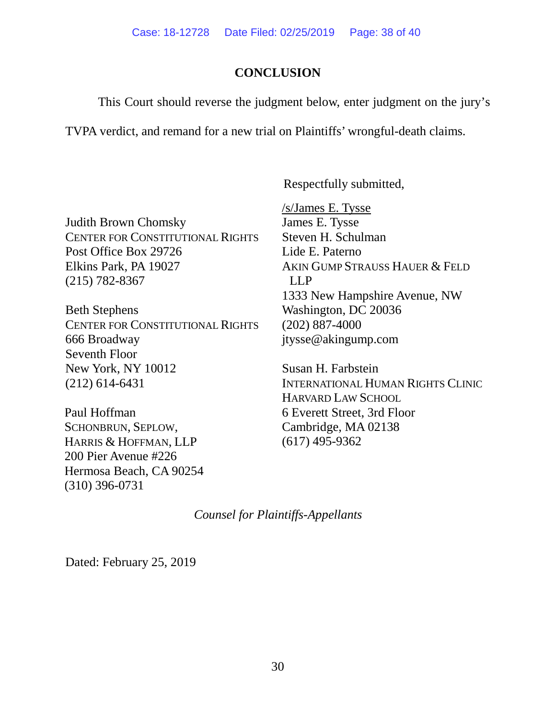# **CONCLUSION**

This Court should reverse the judgment below, enter judgment on the jury's

TVPA verdict, and remand for a new trial on Plaintiffs' wrongful-death claims.

Respectfully submitted,

Judith Brown Chomsky CENTER FOR CONSTITUTIONAL RIGHTS Post Office Box 29726 Elkins Park, PA 19027 (215) 782-8367

Beth Stephens CENTER FOR CONSTITUTIONAL RIGHTS 666 Broadway Seventh Floor New York, NY 10012 (212) 614-6431

Paul Hoffman SCHONBRUN, SEPLOW, HARRIS & HOFFMAN, LLP 200 Pier Avenue #226 Hermosa Beach, CA 90254 (310) 396-0731

/s/James E. Tysse James E. Tysse Steven H. Schulman Lide E. Paterno AKIN GUMP STRAUSS HAUER & FELD LLP 1333 New Hampshire Avenue, NW Washington, DC 20036 (202) 887-4000 jtysse@akingump.com

Susan H. Farbstein INTERNATIONAL HUMAN RIGHTS CLINIC HARVARD LAW SCHOOL 6 Everett Street, 3rd Floor Cambridge, MA 02138 (617) 495-9362

*Counsel for Plaintiffs-Appellants*

Dated: February 25, 2019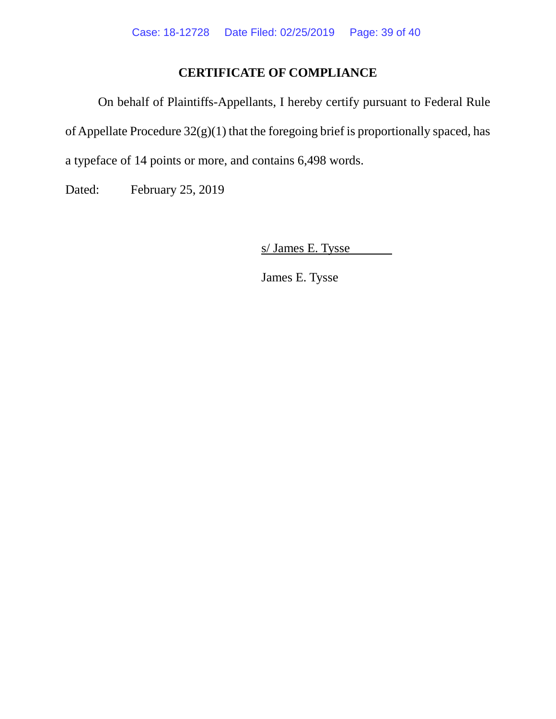# **CERTIFICATE OF COMPLIANCE**

On behalf of Plaintiffs-Appellants, I hereby certify pursuant to Federal Rule of Appellate Procedure 32(g)(1) that the foregoing brief is proportionally spaced, has a typeface of 14 points or more, and contains 6,498 words.

Dated: February 25, 2019

s/ James E. Tysse

James E. Tysse